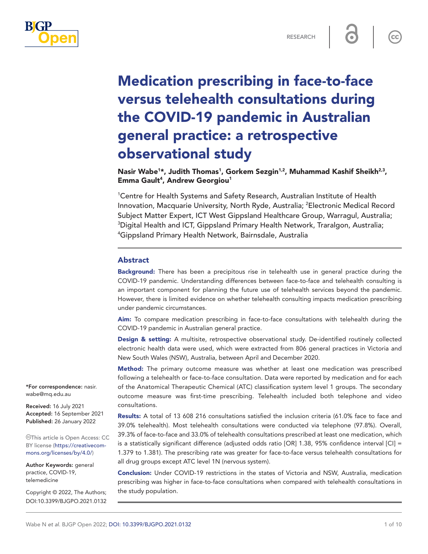

# Medication prescribing in face-to-face versus telehealth consultations during the COVID-19 pandemic in Australian general practice: a retrospective observational study

Nasir Wabe<sup>1</sup>\*, Judith Thomas<sup>1</sup>, Gorkem Sezgin<sup>1,2</sup>, Muhammad Kashif Sheikh<sup>2,3</sup>, Emma Gault<sup>4</sup>, Andrew Georgiou<sup>1</sup>

<sup>1</sup> Centre for Health Systems and Safety Research, Australian Institute of Health Innovation, Macquarie University, North Ryde, Australia; <sup>2</sup>Electronic Medical Record Subject Matter Expert, ICT West Gippsland Healthcare Group, Warragul, Australia; 3 Digital Health and ICT, Gippsland Primary Health Network, Traralgon, Australia; 4 Gippsland Primary Health Network, Bairnsdale, Australia

## Abstract

**Background:** There has been a precipitous rise in telehealth use in general practice during the COVID-19 pandemic. Understanding differences between face-to-face and telehealth consulting is an important component for planning the future use of telehealth services beyond the pandemic. However, there is limited evidence on whether telehealth consulting impacts medication prescribing under pandemic circumstances.

Aim: To compare medication prescribing in face-to-face consultations with telehealth during the COVID-19 pandemic in Australian general practice.

**Design & setting:** A multisite, retrospective observational study. De-identified routinely collected electronic health data were used, which were extracted from 806 general practices in Victoria and New South Wales (NSW), Australia, between April and December 2020.

Method: The primary outcome measure was whether at least one medication was prescribed following a telehealth or face-to-face consultation. Data were reported by medication and for each of the Anatomical Therapeutic Chemical (ATC) classification system level 1 groups. The secondary outcome measure was first-time prescribing. Telehealth included both telephone and video consultations.

Results: A total of 13 608 216 consultations satisfied the inclusion criteria (61.0% face to face and 39.0% telehealth). Most telehealth consultations were conducted via telephone (97.8%). Overall, 39.3% of face-to-face and 33.0% of telehealth consultations prescribed at least one medication, which is a statistically significant difference (adjusted odds ratio [OR] 1.38, 95% confidence interval  $\text{[CI]} =$ 1.379 to 1.381). The prescribing rate was greater for face-to-face versus telehealth consultations for all drug groups except ATC level 1N (nervous system).

Conclusion: Under COVID-19 restrictions in the states of Victoria and NSW, Australia, medication prescribing was higher in face-to-face consultations when compared with telehealth consultations in the study population.

\*For correspondence: [nasir.](mailto:nasir.wabe@mq.edu.au) [wabe@mq.edu.au](mailto:nasir.wabe@mq.edu.au)

Received: 16 July 2021 Accepted: 16 September 2021 Published: 26 January 2022

This article is Open Access: CC BY license [\(https://creativecom](https://creativecommons.org/licenses/by/4.0/)[mons.org/licenses/by/4.0/\)](https://creativecommons.org/licenses/by/4.0/)

Author Keywords: general practice, COVID-19, telemedicine

Copyright © 2022, The Authors; DOI:10.3399/BJGPO.2021.0132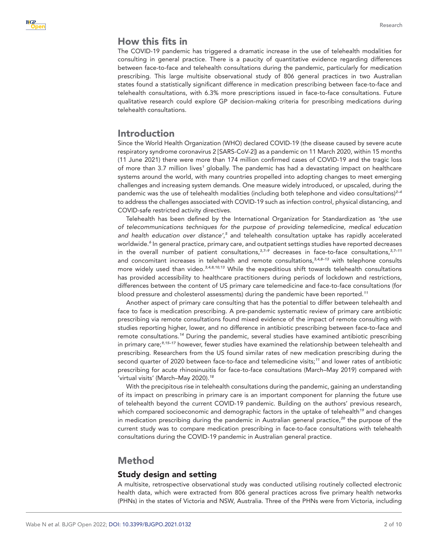# How this fits in

The COVID-19 pandemic has triggered a dramatic increase in the use of telehealth modalities for consulting in general practice. There is a paucity of quantitative evidence regarding differences between face-to-face and telehealth consultations during the pandemic, particularly for medication prescribing. This large multisite observational study of 806 general practices in two Australian states found a statistically significant difference in medication prescribing between face-to-face and telehealth consultations, with 6.3% more prescriptions issued in face-to-face consultations. Future qualitative research could explore GP decision-making criteria for prescribing medications during telehealth consultations.

## Introduction

Since the World Health Organization (WHO) declared COVID-19 (the disease caused by severe acute respiratory syndrome coronavirus 2 [SARS-CoV-2]) as a pandemic on 11 March 2020, within 15 months (11 June 2021) there were more than 174 million confirmed cases of COVID-19 and the tragic loss of more than 3.7 million lives<sup>[1](#page-8-0)</sup> globally. The pandemic has had a devastating impact on healthcare systems around the world, with many countries propelled into adopting changes to meet emerging challenges and increasing system demands. One measure widely introduced, or upscaled, during the pandemic was the use of telehealth modalities (including both telephone and video consultations)*[2–4](#page-8-1)* to address the challenges associated with COVID-19 such as infection control, physical distancing, and COVID-safe restricted activity directives.

Telehealth has been defined by the International Organization for Standardization as *'the use of telecommunications techniques for the purpose of providing telemedicine, medical education*  and health education over distance',<sup>[5](#page-8-2)</sup> and telehealth consultation uptake has rapidly accelerated worldwide.*[6](#page-8-3)* In general practice, primary care, and outpatient settings studies have reported decreases in the overall number of patient consultations,*[3,7–9](#page-8-4)* decreases in face-to-face consultations,*[3,7–11](#page-8-4)* and concomitant increases in telehealth and remote consultations,*[3,4,8–13](#page-8-4)* with telephone consults more widely used than video.*[3,4,8,10,13](#page-8-4)* While the expeditious shift towards telehealth consultations has provided accessibility to healthcare practitioners during periods of lockdown and restrictions, differences between the content of US primary care telemedicine and face-to-face consultations (for blood pressure and cholesterol assessments) during the pandemic have been reported.*[11](#page-8-5)*

Another aspect of primary care consulting that has the potential to differ between telehealth and face to face is medication prescribing. A pre-pandemic systematic review of primary care antibiotic prescribing via remote consultations found mixed evidence of the impact of remote consulting with studies reporting higher, lower, and no difference in antibiotic prescribing between face-to-face and remote consultations.*[14](#page-8-6)* During the pandemic, several studies have examined antibiotic prescribing in primary care;*[9,15–17](#page-8-7)* however, fewer studies have examined the relationship between telehealth and prescribing. Researchers from the US found similar rates of new medication prescribing during the second quarter of 2020 between face-to-face and telemedicine visits;*[11](#page-8-5)* and lower rates of antibiotic prescribing for acute rhinosinusitis for face-to-face consultations (March–May 2019) compared with 'virtual visits' (March–May 2020).*[18](#page-9-0)*

With the precipitous rise in telehealth consultations during the pandemic, gaining an understanding of its impact on prescribing in primary care is an important component for planning the future use of telehealth beyond the current COVID-19 pandemic. Building on the authors' previous research, which compared socioeconomic and demographic factors in the uptake of telehealth*[19](#page-9-1)* and changes in medication prescribing during the pandemic in Australian general practice,*[20](#page-9-2)* the purpose of the current study was to compare medication prescribing in face-to-face consultations with telehealth consultations during the COVID-19 pandemic in Australian general practice.

# Method

## Study design and setting

A multisite, retrospective observational study was conducted utilising routinely collected electronic health data, which were extracted from 806 general practices across five primary health networks (PHNs) in the states of Victoria and NSW, Australia. Three of the PHNs were from Victoria, including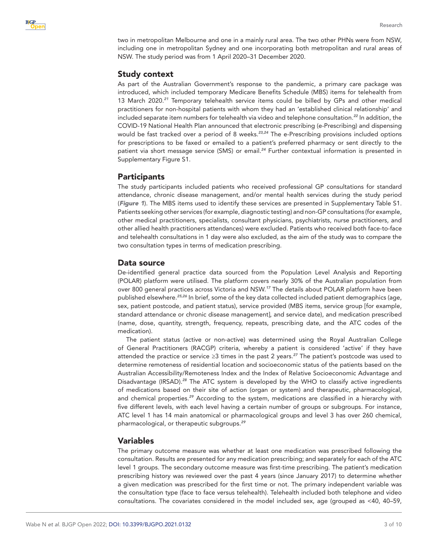

two in metropolitan Melbourne and one in a mainly rural area. The two other PHNs were from NSW, including one in metropolitan Sydney and one incorporating both metropolitan and rural areas of NSW. The study period was from 1 April 2020–31 December 2020.

## Study context

As part of the Australian Government's response to the pandemic, a primary care package was introduced, which included temporary Medicare Benefits Schedule (MBS) items for telehealth from 13 March 2020.*[21](#page-9-3)* Temporary telehealth service items could be billed by GPs and other medical practitioners for non-hospital patients with whom they had an 'established clinical relationship' and included separate item numbers for telehealth via video and telephone consultation.*[22](#page-9-4)* In addition, the COVID-19 National Health Plan announced that electronic prescribing (e-Prescribing) and dispensing would be fast tracked over a period of 8 weeks.*[23,24](#page-9-5)* The e-Prescribing provisions included options for prescriptions to be faxed or emailed to a patient's preferred pharmacy or sent directly to the patient via short message service (SMS) or email.*[24](#page-9-6)* Further contextual information is presented in Supplementary Figure S1.

## **Participants**

The study participants included patients who received professional GP consultations for standard attendance, chronic disease management, and/or mental health services during the study period (*[Figure 1](#page-3-0)*). The MBS items used to identify these services are presented in Supplementary Table S1. Patients seeking other services (for example, diagnostic testing) and non-GP consultations (for example, other medical practitioners, specialists, consultant physicians, psychiatrists, nurse practitioners, and other allied health practitioners attendances) were excluded. Patients who received both face-to-face and telehealth consultations in 1 day were also excluded, as the aim of the study was to compare the two consultation types in terms of medication prescribing.

## Data source

De-identified general practice data sourced from the Population Level Analysis and Reporting (POLAR) platform were utilised. The platform covers nearly 30% of the Australian population from over 800 general practices across Victoria and NSW.*[17](#page-9-7)* The details about POLAR platform have been published elsewhere.*[25,26](#page-9-8)* In brief, some of the key data collected included patient demographics (age, sex, patient postcode, and patient status), service provided (MBS items, service group [for example, standard attendance or chronic disease management], and service date), and medication prescribed (name, dose, quantity, strength, frequency, repeats, prescribing date, and the ATC codes of the medication).

The patient status (active or non-active) was determined using the Royal Australian College of General Practitioners (RACGP) criteria, whereby a patient is considered 'active' if they have attended the practice or service ≥3 times in the past 2 years.*[27](#page-9-9)* The patient's postcode was used to determine remoteness of residential location and socioeconomic status of the patients based on the Australian Accessibility/Remoteness Index and the Index of Relative Socioeconomic Advantage and Disadvantage (IRSAD).*[28](#page-9-10)* The ATC system is developed by the WHO to classify active ingredients of medications based on their site of action (organ or system) and therapeutic, pharmacological, and chemical properties.*[29](#page-9-11)* According to the system, medications are classified in a hierarchy with five different levels, with each level having a certain number of groups or subgroups. For instance, ATC level 1 has 14 main anatomical or pharmacological groups and level 3 has over 260 chemical, pharmacological, or therapeutic subgroups.*[29](#page-9-11)*

## Variables

The primary outcome measure was whether at least one medication was prescribed following the consultation. Results are presented for any medication prescribing; and separately for each of the ATC level 1 groups. The secondary outcome measure was first-time prescribing. The patient's medication prescribing history was reviewed over the past 4 years (since January 2017) to determine whether a given medication was prescribed for the first time or not. The primary independent variable was the consultation type (face to face versus telehealth). Telehealth included both telephone and video consultations. The covariates considered in the model included sex, age (grouped as <40, 40–59,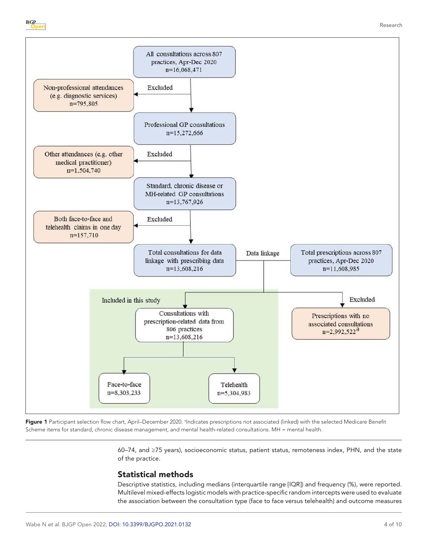



<span id="page-3-0"></span>Figure 1 Participant selection flow chart, April–December 2020. <sup>a</sup>Indicates prescriptions not associated (linked) with the selected Medicare Benefit Scheme items for standard, chronic disease management, and mental health-related consultations. MH = mental health.

> 60–74, and ≥75 years), socioeconomic status, patient status, remoteness index, PHN, and the state of the practice.

# Statistical methods

Descriptive statistics, including medians (interquartile range [IQR]) and frequency (%), were reported. Multilevel mixed-effects logistic models with practice-specific random intercepts were used to evaluate the association between the consultation type (face to face versus telehealth) and outcome measures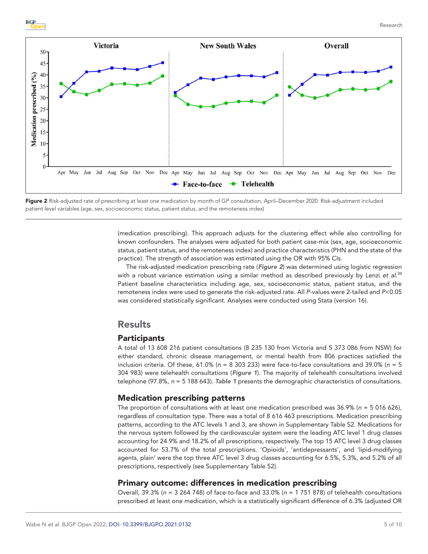

<span id="page-4-0"></span>Figure 2 Risk-adjusted rate of prescribing at least one medication by month of GP consultation, April–December 2020. Risk-adjustment included patient level variables (age, sex, socioeconomic status, patient status, and the remoteness index)

(medication prescribing). This approach adjusts for the clustering effect while also controlling for known confounders. The analyses were adjusted for both patient case-mix (sex, age, socioeconomic status, patient status, and the remoteness index) and practice characteristics (PHN and the state of the practice). The strength of association was estimated using the OR with 95% CIs.

The risk-adjusted medication prescribing rate (*[Figure 2](#page-4-0)*) was determined using logistic regression with a robust variance estimation using a similar method as described previously by Lenzi *et al*. *[30](#page-9-12)* Patient baseline characteristics including age, sex, socioeconomic status, patient status, and the remoteness index were used to generate the risk-adjusted rate. All *P*-values were 2-tailed and *P*<0.05 was considered statistically significant. Analyses were conducted using Stata (version 16).

# Results

## **Participants**

A total of 13 608 216 patient consultations (8 235 130 from Victoria and 5 373 086 from NSW) for either standard, chronic disease management, or mental health from 806 practices satisfied the inclusion criteria. Of these, 61.0% (*n* = 8 303 233) were face-to-face consultations and 39.0% (*n* = 5 304 983) were telehealth consultations (*[Figure 1](#page-3-0)*). The majority of telehealth consultations involved telephone (97.8%, *n* = 5 188 643). *[Table 1](#page-5-0)* presents the demographic characteristics of consultations.

## Medication prescribing patterns

The proportion of consultations with at least one medication prescribed was 36.9% (*n* = 5 016 626), regardless of consultation type. There was a total of 8 616 463 prescriptions. Medication prescribing patterns, according to the ATC levels 1 and 3, are shown in Supplementary Table S2. Medications for the nervous system followed by the cardiovascular system were the leading ATC level 1 drug classes accounting for 24.9% and 18.2% of all prescriptions, respectively. The top 15 ATC level 3 drug classes accounted for 53.7% of the total prescriptions. 'Opioids', 'antidepressants', and 'lipid-modifying agents, plain' were the top three ATC level 3 drug classes accounting for 6.5%, 5.3%, and 5.2% of all prescriptions, respectively (see Supplementary Table S2).

### Primary outcome: differences in medication prescribing

Overall, 39.3% (*n* = 3 264 748) of face-to-face and 33.0% (*n* = 1 751 878) of telehealth consultations prescribed at least one medication, which is a statistically significant difference of 6.3% (adjusted OR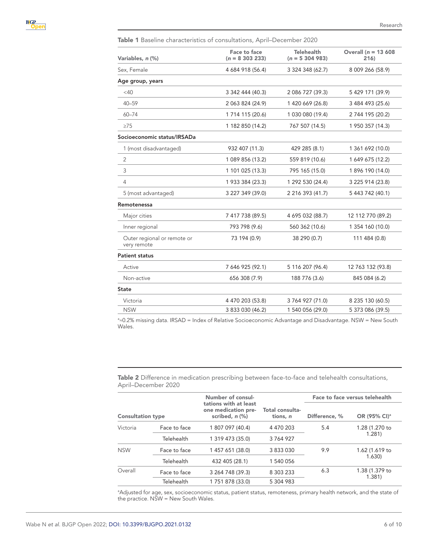<span id="page-5-0"></span>Table 1 Baseline characteristics of consultations, April–December 2020

| Variables, n (%)                           | Face to face<br>$(n = 8303233)$ | <b>Telehealth</b><br>$(n = 5304983)$ | Overall ( $n = 13,608$<br>216) |
|--------------------------------------------|---------------------------------|--------------------------------------|--------------------------------|
| Sex, Female                                | 4 684 918 (56.4)                | 3 324 348 (62.7)                     | 8 009 266 (58.9)               |
| Age group, years                           |                                 |                                      |                                |
| $<$ 40                                     | 3 342 444 (40.3)                | 2 086 727 (39.3)                     | 5 429 171 (39.9)               |
| $40 - 59$                                  | 2 063 824 (24.9)                | 1 420 669 (26.8)                     | 3 484 493 (25.6)               |
| $60 - 74$                                  | 1 7 14 1 15 (20.6)              | 1 030 080 (19.4)                     | 2 744 195 (20.2)               |
| $\geq$ 75                                  | 1 182 850 (14.2)                | 767 507 (14.5)                       | 1 950 357 (14.3)               |
| Socioeconomic status/IRSADa                |                                 |                                      |                                |
| 1 (most disadvantaged)                     | 932 407 (11.3)                  | 429 285 (8.1)                        | 1 361 692 (10.0)               |
| $\overline{2}$                             | 1 089 856 (13.2)                | 559 819 (10.6)                       | 1 649 675 (12.2)               |
| 3                                          | 1 101 025 (13.3)                | 795 165 (15.0)                       | 1 896 190 (14.0)               |
| $\overline{4}$                             | 1 933 384 (23.3)                | 1 292 530 (24.4)                     | 3 225 914 (23.8)               |
| 5 (most advantaged)                        | 3 227 349 (39.0)                | 2 216 393 (41.7)                     | 5 443 742 (40.1)               |
| Remotenessa                                |                                 |                                      |                                |
| Major cities                               | 7 417 738 (89.5)                | 4 695 032 (88.7)                     | 12 112 770 (89.2)              |
| Inner regional                             | 793 798 (9.6)                   | 560 362 (10.6)                       | 1 354 160 (10.0)               |
| Outer regional or remote or<br>very remote | 73 194 (0.9)                    | 38 290 (0.7)                         | 111 484 (0.8)                  |
| <b>Patient status</b>                      |                                 |                                      |                                |
| Active                                     | 7 646 925 (92.1)                | 5 116 207 (96.4)                     | 12 763 132 (93.8)              |
| Non-active                                 | 656 308 (7.9)                   | 188 776 (3.6)                        | 845 084 (6.2)                  |
| <b>State</b>                               |                                 |                                      |                                |
| Victoria                                   | 4 470 203 (53.8)                | 3 764 927 (71.0)                     | 8 235 130 (60.5)               |
| <b>NSW</b>                                 | 3 833 030 (46.2)                | 1 540 056 (29.0)                     | 5 373 086 (39.5)               |

ª≈0.2% missing data. IRSAD = Index of Relative Socioeconomic Advantage and Disadvantage. NSW = New South Wales.

<span id="page-5-1"></span>Table 2 Difference in medication prescribing between face-to-face and telehealth consultations, April–December 2020

| <b>Consultation type</b> |              | Number of consul-<br>tations with at least<br>one medication pre-<br>scribed, n (%) |                             | Face to face versus telehealth |                          |
|--------------------------|--------------|-------------------------------------------------------------------------------------|-----------------------------|--------------------------------|--------------------------|
|                          |              |                                                                                     | Total consulta-<br>tions, n | Difference, %                  | OR (95% CI) <sup>a</sup> |
| Victoria                 | Face to face | 1 807 097 (40.4)                                                                    | 4 470 203                   | 5.4                            | 1.28 (1.270 to<br>1.281  |
|                          | Telehealth   | 1 319 473 (35.0)                                                                    | 3764927                     |                                |                          |
| <b>NSW</b>               | Face to face | 1 457 651 (38.0)                                                                    | 3 833 030                   | 9.9                            | 1.62 (1.619 to<br>1.630) |
|                          | Telehealth   | 432 405 (28.1)                                                                      | 1 540 056                   |                                |                          |
| Overall                  | Face to face | 3 264 748 (39.3)                                                                    | 8 303 233                   | 6.3                            | 1.38 (1.379 to<br>1.381  |
|                          | Telehealth   | 1 751 878 (33.0)                                                                    | 5 304 983                   |                                |                          |

a Adjusted for age, sex, socioeconomic status, patient status, remoteness, primary health network, and the state of the practice. NSW = New South Wales.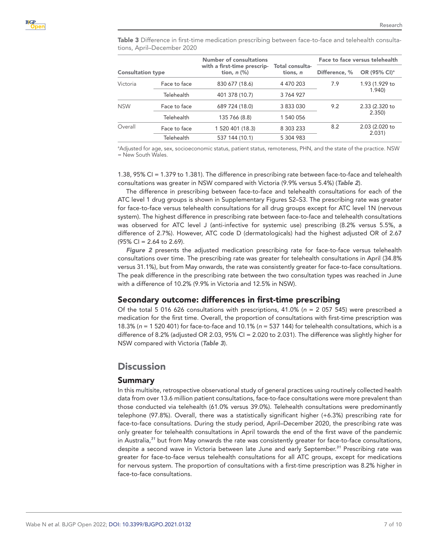<span id="page-6-0"></span>Table 3 Difference in first-time medication prescribing between face-to-face and telehealth consultations, April–December 2020

|                          |              | Number of consultations                         |                             | Face to face versus telehealth |                          |
|--------------------------|--------------|-------------------------------------------------|-----------------------------|--------------------------------|--------------------------|
| <b>Consultation type</b> |              | with a first-time prescrip-<br>tion, $n$ $(\%)$ | Total consulta-<br>tions, n | Difference, %                  | OR (95% CI) <sup>a</sup> |
| Victoria                 | Face to face | 830 677 (18.6)                                  | 4 470 203                   | 7.9                            | 1.93 (1.929 to<br>1.940  |
|                          | Telehealth   | 401 378 (10.7)                                  | 3764927                     |                                |                          |
| <b>NSW</b>               | Face to face | 689 724 (18.0)                                  | 3 833 030                   | 9.2                            | 2.33 (2.320 to<br>2.350  |
|                          | Telehealth   | 135 766 (8.8)                                   | 1 540 056                   |                                |                          |
| Overall                  | Face to face | 1 520 401 (18.3)                                | 8 303 233                   | 8.2                            | 2.03 (2.020 to<br>2.031) |
|                          | Telehealth   | 537 144 (10.1)                                  | 5 304 983                   |                                |                          |

a Adjusted for age, sex, socioeconomic status, patient status, remoteness, PHN, and the state of the practice. NSW = New South Wales.

1.38, 95% CI = 1.379 to 1.381). The difference in prescribing rate between face-to-face and telehealth consultations was greater in NSW compared with Victoria (9.9% versus 5.4%) (*[Table 2](#page-5-1)*).

The difference in prescribing between face-to-face and telehealth consultations for each of the ATC level 1 drug groups is shown in Supplementary Figures S2–S3. The prescribing rate was greater for face-to-face versus telehealth consultations for all drug groups except for ATC level 1N (nervous system). The highest difference in prescribing rate between face-to-face and telehealth consultations was observed for ATC level J (anti-infective for systemic use) prescribing (8.2% versus 5.5%, a difference of 2.7%). However, ATC code D (dermatologicals) had the highest adjusted OR of 2.67 (95% CI = 2.64 to 2.69).

*[Figure 2](#page-4-0)* presents the adjusted medication prescribing rate for face-to-face versus telehealth consultations over time. The prescribing rate was greater for telehealth consultations in April (34.8% versus 31.1%), but from May onwards, the rate was consistently greater for face-to-face consultations. The peak difference in the prescribing rate between the two consultation types was reached in June with a difference of 10.2% (9.9% in Victoria and 12.5% in NSW).

## Secondary outcome: differences in first-time prescribing

Of the total 5 016 626 consultations with prescriptions, 41.0% (*n* = 2 057 545) were prescribed a medication for the first time. Overall, the proportion of consultations with first-time prescription was 18.3% (*n* = 1 520 401) for face-to-face and 10.1% (*n* = 537 144) for telehealth consultations, which is a difference of 8.2% (adjusted OR 2.03, 95% CI = 2.020 to 2.031). The difference was slightly higher for NSW compared with Victoria (*[Table 3](#page-6-0)*).

# **Discussion**

## Summary

In this multisite, retrospective observational study of general practices using routinely collected health data from over 13.6 million patient consultations, face-to-face consultations were more prevalent than those conducted via telehealth (61.0% versus 39.0%). Telehealth consultations were predominantly telephone (97.8%). Overall, there was a statistically significant higher (+6.3%) prescribing rate for face-to-face consultations. During the study period, April–December 2020, the prescribing rate was only greater for telehealth consultations in April towards the end of the first wave of the pandemic in Australia,*[31](#page-9-13)* but from May onwards the rate was consistently greater for face-to-face consultations, despite a second wave in Victoria between late June and early September.*[31](#page-9-13)* Prescribing rate was greater for face-to-face versus telehealth consultations for all ATC groups, except for medications for nervous system. The proportion of consultations with a first-time prescription was 8.2% higher in face-to-face consultations.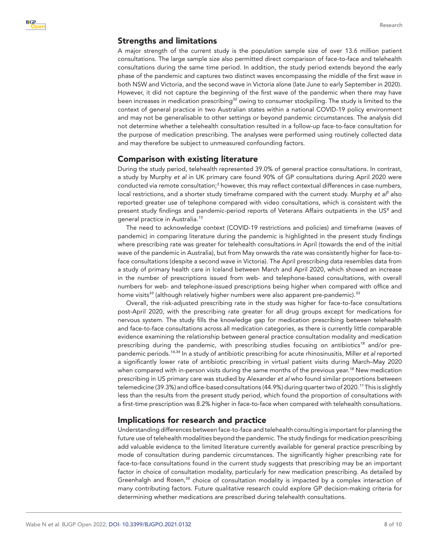## Strengths and limitations

A major strength of the current study is the population sample size of over 13.6 million patient consultations. The large sample size also permitted direct comparison of face-to-face and telehealth consultations during the same time period. In addition, the study period extends beyond the early phase of the pandemic and captures two distinct waves encompassing the middle of the first wave in both NSW and Victoria, and the second wave in Victoria alone (late June to early September in 2020). However, it did not capture the beginning of the first wave of the pandemic when there may have been increases in medication prescribing*[32](#page-9-14)* owing to consumer stockpiling. The study is limited to the context of general practice in two Australian states within a national COVID-19 policy environment and may not be generalisable to other settings or beyond pandemic circumstances. The analysis did not determine whether a telehealth consultation resulted in a follow-up face-to-face consultation for the purpose of medication prescribing. The analyses were performed using routinely collected data and may therefore be subject to unmeasured confounding factors.

#### Comparison with existing literature

During the study period, telehealth represented 39.0% of general practice consultations. In contrast, a study by Murphy *et al* in UK primary care found 90% of GP consultations during April 2020 were conducted via remote consultation;*[3](#page-8-4)* however, this may reflect contextual differences in case numbers, local restrictions, and a shorter study timeframe compared with the current study. Murphy et al<sup>[3](#page-8-4)</sup> also reported greater use of telephone compared with video consultations, which is consistent with the present study findings and pandemic-period reports of Veterans Affairs outpatients in the US*[8](#page-8-8)* and general practice in Australia.*[13](#page-8-9)*

The need to acknowledge context (COVID-19 restrictions and policies) and timeframe (waves of pandemic) in comparing literature during the pandemic is highlighted in the present study findings where prescribing rate was greater for telehealth consultations in April (towards the end of the initial wave of the pandemic in Australia), but from May onwards the rate was consistently higher for face-toface consultations (despite a second wave in Victoria). The April prescribing data resembles data from a study of primary health care in Iceland between March and April 2020, which showed an increase in the number of prescriptions issued from web- and telephone-based consultations, with overall numbers for web- and telephone-issued prescriptions being higher when compared with office and home visits*[33](#page-9-15)* (although relatively higher numbers were also apparent pre-pandemic).*[33](#page-9-15)*

Overall, the risk-adjusted prescribing rate in the study was higher for face-to-face consultations post-April 2020, with the prescribing rate greater for all drug groups except for medications for nervous system. The study fills the knowledge gap for medication prescribing between telehealth and face-to-face consultations across all medication categories, as there is currently little comparable evidence examining the relationship between general practice consultation modality and medication prescribing during the pandemic, with prescribing studies focusing on antibiotics*[18](#page-9-0)* and/or prepandemic periods.*[14,34](#page-8-6)* In a study of antibiotic prescribing for acute rhinosinusitis, Miller *et al* reported a significantly lower rate of antibiotic prescribing in virtual patient visits during March–May 2020 when compared with in-person visits during the same months of the previous year.*[18](#page-9-0)* New medication prescribing in US primary care was studied by Alexander *et al* who found similar proportions between telemedicine (39.3%) and office-based consultations (44.9%) during quarter two of 2020.*[11](#page-8-5)* This is slightly less than the results from the present study period, which found the proportion of consultations with a first-time prescription was 8.2% higher in face-to-face when compared with telehealth consultations.

## Implications for research and practice

Understanding differences between face-to-face and telehealth consulting is important for planning the future use of telehealth modalities beyond the pandemic. The study findings for medication prescribing add valuable evidence to the limited literature currently available for general practice prescribing by mode of consultation during pandemic circumstances. The significantly higher prescribing rate for face-to-face consultations found in the current study suggests that prescribing may be an important factor in choice of consultation modality, particularly for new medication prescribing. As detailed by Greenhalgh and Rosen,*[35](#page-9-16)* choice of consultation modality is impacted by a complex interaction of many contributing factors. Future qualitative research could explore GP decision-making criteria for determining whether medications are prescribed during telehealth consultations.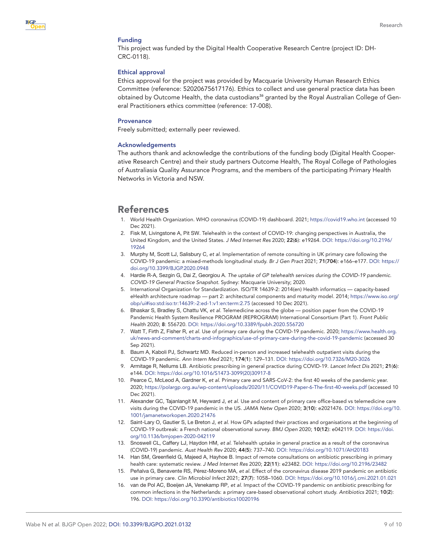#### Funding

This project was funded by the Digital Health Cooperative Research Centre (project ID: DH-CRC-0118).

#### Ethical approval

Ethics approval for the project was provided by Macquarie University Human Research Ethics Committee (reference: 52020675617176). Ethics to collect and use general practice data has been obtained by Outcome Health, the data custodians*[36](#page-9-17)* granted by the Royal Australian College of General Practitioners ethics committee (reference: 17-008).

#### **Provenance**

Freely submitted; externally peer reviewed.

#### Acknowledgements

The authors thank and acknowledge the contributions of the funding body (Digital Health Cooperative Research Centre) and their study partners Outcome Health, The Royal College of Pathologies of Australiasia Quality Assurance Programs, and the members of the participating Primary Health Networks in Victoria and NSW.

## References

- <span id="page-8-0"></span>1. World Health Organization. WHO coronavirus (COVID-19) dashboard. 2021; <https://covid19.who.int> (accessed 10 Dec 2021).
- <span id="page-8-1"></span>2. Fisk M, Livingstone A, Pit SW. Telehealth in the context of COVID-19: changing perspectives in Australia, the United Kingdom, and the United States. *J Med Internet Res* 2020; 22(6): e19264. DOI: [https://doi.org/10.2196/](https://doi.org/10.2196/19264) [19264](https://doi.org/10.2196/19264)
- <span id="page-8-4"></span>3. Murphy M, Scott LJ, Salisbury C, *et al*. Implementation of remote consulting in UK primary care following the COVID-19 pandemic: a mixed-methods longitudinal study. *Br J Gen Pract* 2021; 71(704): e166–e177. DOI: [https://](https://doi.org/10.3399/BJGP.2020.0948) [doi.org/10.3399/BJGP.2020.0948](https://doi.org/10.3399/BJGP.2020.0948)
- 4. Hardie R-A, Sezgin G, Dai Z, Georgiou A. *The uptake of GP telehealth services during the COVID-19 pandemic. COVID-19 General Practice Snapshot*. Sydney: Macquarie University; 2020.
- <span id="page-8-2"></span>5. International Organization for Standardization. ISO/TR 14639-2: 2014(en) Health informatics — capacity-based eHealth architecture roadmap — part 2: architectural components and maturity model. 2014; [https://www.iso.org/](https://www.iso.org/obp/ui#iso:std:iso:tr:14639:-2:ed-1:v1:en:term:2.75) [obp/ui#iso:std:iso:tr:14639:-2:ed-1:v1:en:term:2.75](https://www.iso.org/obp/ui#iso:std:iso:tr:14639:-2:ed-1:v1:en:term:2.75) (accessed 10 Dec 2021).
- <span id="page-8-3"></span>6. Bhaskar S, Bradley S, Chattu VK, *et al*. Telemedicine across the globe — position paper from the COVID-19 Pandemic Health System Resilience PROGRAM (REPROGRAM) International Consortium (Part 1). *Front Public Health* 2020; 8: 556720. DOI:<https://doi.org/10.3389/fpubh.2020.556720>
- 7. Watt T, Firth Z, Fisher R, *et al*. Use of primary care during the COVID-19 pandemic. 2020; [https://www.health.org.](https://www.health.org.uk/news-and-comment/charts-and-infographics/use-of-primary-care-during-the-covid-19-pandemic) [uk/news-and-comment/charts-and-infographics/use-of-primary-care-during-the-covid-19-pandemic](https://www.health.org.uk/news-and-comment/charts-and-infographics/use-of-primary-care-during-the-covid-19-pandemic) (accessed 30 Sep 2021).
- <span id="page-8-8"></span>8. Baum A, Kaboli PJ, Schwartz MD. Reduced in-person and increased telehealth outpatient visits during the COVID-19 pandemic. *Ann Intern Med* 2021; 174(1): 129–131. DOI:<https://doi.org/10.7326/M20-3026>
- <span id="page-8-7"></span>9. Armitage R, Nellums LB. Antibiotic prescribing in general practice during COVID-19. *Lancet Infect Dis* 2021; 21(6): e144. DOI: [https://doi.org/10.1016/S1473-3099\(20\)30917-8](https://doi.org/10.1016/S1473-3099(20)30917-8)
- 10. Pearce C, McLeod A, Gardner K, *et al*. Primary care and SARS-CoV-2: the first 40 weeks of the pandemic year. 2020;<https://polargp.org.au/wp-content/uploads/2020/11/COVID19-Paper-6-The-first-40-weeks.pdf>(accessed 10 Dec 2021).
- <span id="page-8-5"></span>11. Alexander GC, Tajanlangit M, Heyward J, *et al*. Use and content of primary care office-based vs telemedicine care visits during the COVID-19 pandemic in the US. *JAMA Netw Open* 2020; 3(10): e2021476. DOI: [https://doi.org/10.](https://doi.org/10.1001/jamanetworkopen.2020.21476) [1001/jamanetworkopen.2020.21476](https://doi.org/10.1001/jamanetworkopen.2020.21476)
- 12. Saint-Lary O, Gautier S, Le Breton J, *et al*. How GPs adapted their practices and organisations at the beginning of COVID-19 outbreak: a French national observational survey. *BMJ Open* 2020; 10(12): e042119. DOI: [https://doi.](https://doi.org/10.1136/bmjopen-2020-042119) [org/10.1136/bmjopen-2020-042119](https://doi.org/10.1136/bmjopen-2020-042119)
- <span id="page-8-9"></span>13. Snoswell CL, Caffery LJ, Haydon HM, *et al*. Telehealth uptake in general practice as a result of the coronavirus (COVID-19) pandemic. *Aust Health Rev* 2020; 44(5): 737–740. DOI: <https://doi.org/10.1071/AH20183>
- <span id="page-8-6"></span>14. Han SM, Greenfield G, Majeed A, Hayhoe B. Impact of remote consultations on antibiotic prescribing in primary health care: systematic review. *J Med Internet Res* 2020; 22(11): e23482. DOI: <https://doi.org/10.2196/23482>
- 15. Peñalva G, Benavente RS, Pérez-Moreno MA, *et al*. Effect of the coronavirus disease 2019 pandemic on antibiotic use in primary care. *Clin Microbiol Infect* 2021; 27(7): 1058–1060. DOI: <https://doi.org/10.1016/j.cmi.2021.01.021>
- 16. van de Pol AC, Boeijen JA, Venekamp RP, *et al*. Impact of the COVID-19 pandemic on antibiotic prescribing for common infections in the Netherlands: a primary care-based observational cohort study. *Antibiotics* 2021; 10(2): 196. DOI:<https://doi.org/10.3390/antibiotics10020196>